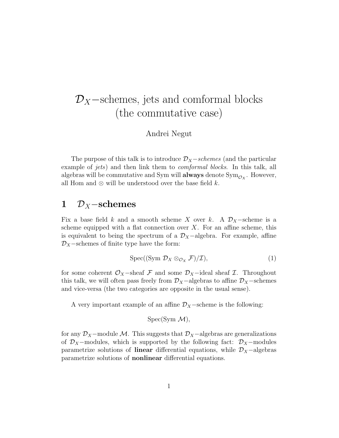# $\mathcal{D}_X$  –schemes, jets and comformal blocks (the commutative case)

Andrei Negut

The purpose of this talk is to introduce  $\mathcal{D}_X$  – schemes (and the particular example of *jets*) and then link them to *comformal blocks*. In this talk, all algebras will be commutative and Sym will  $\mathbf{always}$  denote  $\mathrm{Sym}_{\mathcal{O}_X}$  . However, all Hom and  $\otimes$  will be understood over the base field k.

## 1  $\mathcal{D}_X$ –schemes

Fix a base field k and a smooth scheme X over k. A  $\mathcal{D}_X$ -scheme is a scheme equipped with a flat connection over  $X$ . For an affine scheme, this is equivalent to being the spectrum of a  $\mathcal{D}_X$ -algebra. For example, affine  $\mathcal{D}_X$  –schemes of finite type have the form:

$$
Spec((Sym \mathcal{D}_X \otimes_{\mathcal{O}_X} \mathcal{F})/\mathcal{I}), \qquad (1)
$$

for some coherent  $\mathcal{O}_X$ -sheaf F and some  $\mathcal{D}_X$ -ideal sheaf I. Throughout this talk, we will often pass freely from  $\mathcal{D}_X$ -algebras to affine  $\mathcal{D}_X$ -schemes and vice-versa (the two categories are opposite in the usual sense).

A very important example of an affine  $\mathcal{D}_X$  –scheme is the following:

$$
Spec(Sym \mathcal{M}),
$$

for any  $\mathcal{D}_X$ -module M. This suggests that  $\mathcal{D}_X$ -algebras are generalizations of  $\mathcal{D}_X$ −modules, which is supported by the following fact:  $\mathcal{D}_X$ −modules parametrize solutions of **linear** differential equations, while  $\mathcal{D}_X$ -algebras parametrize solutions of nonlinear differential equations.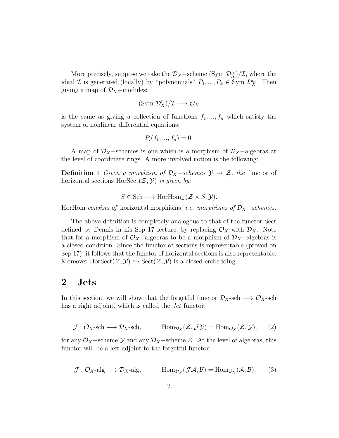More precisely, suppose we take the  $\mathcal{D}_X$ –scheme (Sym  $\mathcal{D}_X^n$ )/ $\mathcal{I}$ , where the ideal *I* is generated (locally) by "polynomials"  $P_1, ..., P_k \in \text{Sym } \mathcal{D}_X^n$ . Then giving a map of  $\mathcal{D}_X$ -modules:

$$
(\text{Sym }\mathcal{D}_X^n)/\mathcal{I}\longrightarrow \mathcal{O}_X
$$

is the same as giving a collection of functions  $f_1, ..., f_n$  which satisfy the system of nonlinear differential equations:

$$
P_i(f_1, ..., f_n) = 0.
$$

A map of  $\mathcal{D}_X$ -schemes is one which is a morphism of  $\mathcal{D}_X$ -algebras at the level of coordinate rings. A more involved notion is the following:

**Definition 1** Given a morphism of  $\mathcal{D}_X$ -schemes  $\mathcal{Y} \to \mathcal{Z}$ , the functor of horizontal sections  $HorSect(\mathcal{Z},\mathcal{Y})$  is given by:

$$
S \in Sch \longrightarrow \text{HorHom}_{\mathcal{Z}}(\mathcal{Z} \times S, \mathcal{Y}).
$$

HorHom consists of horizontal morphisms, *i.e. morphisms of*  $\mathcal{D}_X$  –schemes.

The above definition is completely analogous to that of the functor Sect defined by Dennis in his Sep 17 lecture, by replacing  $\mathcal{O}_X$  with  $\mathcal{D}_X$ . Note that for a morphism of  $\mathcal{O}_X$ -algebras to be a morphism of  $\mathcal{D}_X$ -algebras is a closed condition. Since the functor of sections is representable (proved on Sep 17), it follows that the functor of horizontal sections is also representable. Moreover  $HorSect(\mathcal{Z},\mathcal{Y}) \hookrightarrow Sect(\mathcal{Z},\mathcal{Y})$  is a closed embedding.

## 2 Jets

In this section, we will show that the forgetful functor  $\mathcal{D}_X$ -sch  $\longrightarrow \mathcal{O}_X$ -sch has a right adjoint, which is called the *Jet* functor:

$$
\mathcal{J}: \mathcal{O}_X\text{-sch}\longrightarrow \mathcal{D}_X\text{-sch}, \qquad \text{Hom}_{\mathcal{D}_X}(\mathcal{Z},\mathcal{J}\mathcal{Y}) = \text{Hom}_{\mathcal{O}_X}(\mathcal{Z},\mathcal{Y}), \qquad (2)
$$

for any  $\mathcal{O}_X$ –scheme  $\mathcal Y$  and any  $\mathcal{D}_X$ –scheme  $\mathcal Z$ . At the level of algebras, this functor will be a left adjoint to the forgetful functor:

$$
\mathcal{J}: \mathcal{O}_X \text{-alg} \longrightarrow \mathcal{D}_X \text{-alg}, \qquad \text{Hom}_{\mathcal{D}_X}(\mathcal{J}\mathcal{A}, \mathcal{B}) = \text{Hom}_{\mathcal{O}_X}(\mathcal{A}, \mathcal{B}), \qquad (3)
$$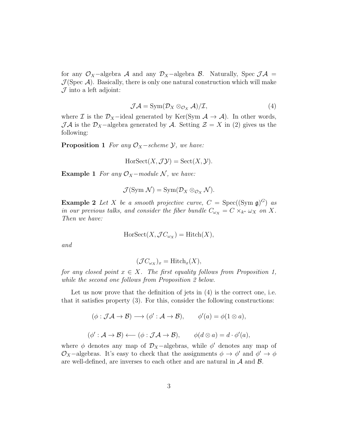for any  $\mathcal{O}_X$ -algebra A and any  $\mathcal{D}_X$ -algebra B. Naturally, Spec  $\mathcal{J}A =$  $\mathcal{J}(\text{Spec }\mathcal{A})$ . Basically, there is only one natural construction which will make  $\mathcal J$  into a left adjoint:

$$
\mathcal{J}\mathcal{A} = \text{Sym}(\mathcal{D}_X \otimes_{\mathcal{O}_X} \mathcal{A})/\mathcal{I},\tag{4}
$$

where  $\mathcal I$  is the  $\mathcal D_X$ -ideal generated by Ker(Sym  $\mathcal A \to \mathcal A$ ). In other words,  $\mathcal{J} \mathcal{A}$  is the  $\mathcal{D}_X$ -algebra generated by  $\mathcal{A}$ . Setting  $\mathcal{Z} = X$  in (2) gives us the following:

**Proposition 1** For any  $O_X$ -scheme  $\mathcal{Y}$ , we have:

$$
HorSect(X, \mathcal{J} \mathcal{Y}) = Sect (X, \mathcal{Y}).
$$

Example 1 For any  $\mathcal{O}_X$ -module N, we have:

$$
\mathcal{J}(\text{Sym }\mathcal{N})=\text{Sym}(\mathcal{D}_X\otimes_{\mathcal{O}_X}\mathcal{N}).
$$

**Example 2** Let X be a smooth projective curve,  $C = \text{Spec}((\text{Sym } \mathfrak{g})^G)$  as in our previous talks, and consider the fiber bundle  $C_{\omega_X} = C \times_{k^*} \omega_X$  on X. Then we have:

$$
HorSect(X, \mathcal{J}C_{\omega_X}) = Hitch(X),
$$

and

$$
(\mathcal{J}C_{\omega_X})_x = \mathrm{Hitch}_x(X),
$$

for any closed point  $x \in X$ . The first equality follows from Proposition 1, while the second one follows from Proposition 2 below.

Let us now prove that the definition of jets in  $(4)$  is the correct one, i.e. that it satisfies property (3). For this, consider the following constructions:

$$
(\phi: \mathcal{JA} \to \mathcal{B}) \longrightarrow (\phi': \mathcal{A} \to \mathcal{B}), \qquad \phi'(a) = \phi(1 \otimes a),
$$

$$
(\phi': \mathcal{A} \to \mathcal{B}) \longleftarrow (\phi: \mathcal{J}\mathcal{A} \to \mathcal{B}), \qquad \phi(d \otimes a) = d \cdot \phi'(a),
$$

where  $\phi$  denotes any map of  $\mathcal{D}_X$ -algebras, while  $\phi'$  denotes any map of  $\mathcal{O}_X$ -algebras. It's easy to check that the assignments  $\phi \to \phi'$  and  $\phi' \to \phi$ are well-defined, are inverses to each other and are natural in  $A$  and  $B$ .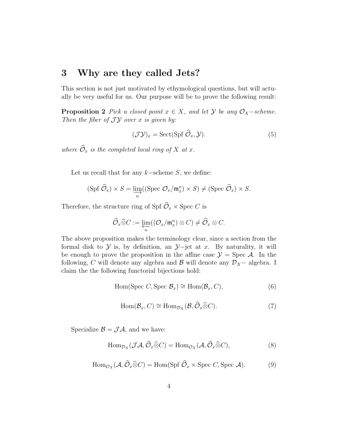#### 3 Why are they called Jets?

This section is not just motivated by ethymological questions, but will actually be very useful for us. Our purpose will be to prove the following result:

**Proposition 2** Pick a closed point  $x \in X$ , and let  $\mathcal{Y}$  be any  $\mathcal{O}_X$ -scheme. Then the fiber of  $J\mathcal{Y}$  over x is given by:

$$
(\mathcal{J}\mathcal{Y})_x = \text{Sect}(\text{Spf }\widehat{\mathcal{O}}_x, \mathcal{Y}).\tag{5}
$$

where  $\widehat{\mathcal{O}}_x$  is the completed local ring of X at x.

Let us recall that for any  $k$ −scheme S, we define:

$$
(\operatorname{Spf} \widehat{\mathcal{O}}_x) \times S = \varinjlim_n ((\operatorname{Spec} \mathcal{O}_x / \mathfrak{m}_x^n) \times S) \neq (\operatorname{Spec} \widehat{\mathcal{O}}_x) \times S.
$$

Therefore, the structure ring of Spf  $\widehat{\mathcal{O}}_x \times \text{Spec } C$  is

$$
\widehat{\mathcal O}_x\widehat\otimes C:=\varprojlim_n((\mathcal O_x/\mathfrak m^n_x)\otimes C)\neq \widehat{\mathcal O}_x\otimes C.
$$

The above proposition makes the terminology clear, since a section from the formal disk to  $\mathcal Y$  is, by definition, an  $\mathcal Y$ −jet at x. By naturality, it will be enough to prove the proposition in the affine case  $\mathcal{Y} = \text{Spec } \mathcal{A}$ . In the following, C will denote any algebra and B will denote any  $\mathcal{D}_X$  – algebra. I claim the the following functorial bijections hold:

$$
Hom(Spec C, Spec Bx) \cong Hom(Bx, C),
$$
\n(6)

$$
Hom(\mathcal{B}_x, C) \cong Hom_{\mathcal{D}_X}(\mathcal{B}, \widehat{\mathcal{O}}_x \widehat{\otimes} C). \tag{7}
$$

Specialize  $\mathcal{B} = \mathcal{J}\mathcal{A}$ , and we have:

$$
\text{Hom}_{\mathcal{D}_X}(\mathcal{J}\mathcal{A}, \widehat{\mathcal{O}}_x \widehat{\otimes} C) = \text{Hom}_{\mathcal{O}_X}(\mathcal{A}, \widehat{\mathcal{O}}_x \widehat{\otimes} C),\tag{8}
$$

$$
\text{Hom}_{\mathcal{O}_X}(\mathcal{A}, \widehat{\mathcal{O}}_x \widehat{\otimes} C) = \text{Hom}(\text{Spf }\widehat{\mathcal{O}}_x \times \text{Spec } C, \text{Spec } \mathcal{A}).\tag{9}
$$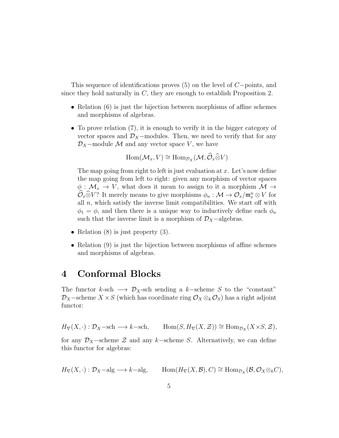This sequence of identifications proves (5) on the level of C−points, and since they hold naturally in  $C$ , they are enough to establish Proposition 2.

- Relation (6) is just the bijection between morphisms of affine schemes and morphisms of algebras.
- To prove relation (7), it is enough to verify it in the bigger category of vector spaces and  $\mathcal{D}_X$ -modules. Then, we need to verify that for any  $\mathcal{D}_X$ –module M and any vector space V, we have

$$
\operatorname{Hom}(\mathcal{M}_x, V) \cong \operatorname{Hom}_{\mathcal{D}_X}(\mathcal{M}, \widehat{\mathcal{O}}_x \widehat{\otimes} V)
$$

The map going from right to left is just evaluation at  $x$ . Let's now define the map going from left to right: given any morphism of vector spaces  $\phi: \mathcal{M}_x \to V$ , what does it mean to assign to it a morphism  $\mathcal{M} \to$  $\mathcal{O}_x \widehat{\otimes} V$ ? It merely means to give morphisms  $\phi_n : \mathcal{M} \to \mathcal{O}_x / \mathfrak{m}_x^n \otimes V$  for all  $n$ , which satisfy the inverse limit compatibilities. We start off with  $\phi_1 = \phi$ , and then there is a unique way to inductively define each  $\phi_n$ such that the inverse limit is a morphism of  $\mathcal{D}_X$ -algebras.

- Relation  $(8)$  is just property  $(3)$ .
- Relation (9) is just the bijection between morphisms of affine schemes and morphisms of algebras.

## 4 Conformal Blocks

The functor k-sch  $\longrightarrow \mathcal{D}_X$ -sch sending a k–scheme S to the "constant"  $\mathcal{D}_X$ –scheme  $X \times S$  (which has coordinate ring  $\mathcal{O}_X \otimes_k \mathcal{O}_S$ ) has a right adjoint functor:

 $H_{\nabla}(X, \cdot) : \mathcal{D}_X-\text{sch} \longrightarrow k-\text{sch}, \qquad \text{Hom}(S, H_{\nabla}(X, \mathcal{Z})) \cong \text{Hom}_{\mathcal{D}_X}(X \times S, \mathcal{Z}),$ 

for any  $\mathcal{D}_X$ -scheme  $\mathcal Z$  and any k-scheme S. Alternatively, we can define this functor for algebras:

$$
H_{\nabla}(X, \cdot) : \mathcal{D}_X - \text{alg} \longrightarrow k - \text{alg}, \qquad \text{Hom}(H_{\nabla}(X, \mathcal{B}), C) \cong \text{Hom}_{\mathcal{D}_X}(\mathcal{B}, \mathcal{O}_X \otimes_k C),
$$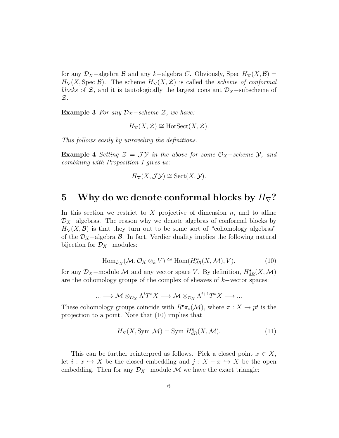for any  $\mathcal{D}_X$ -algebra B and any k−algebra C. Obviously, Spec  $H_{\nabla}(X,\mathcal{B})=$  $H_{\nabla}(X, \text{Spec }\mathcal{B})$ . The scheme  $H_{\nabla}(X, \mathcal{Z})$  is called the *scheme of conformal* blocks of  $\mathcal{Z}$ , and it is tautologically the largest constant  $\mathcal{D}_X$ −subscheme of  $\mathcal{Z}.$ 

**Example 3** For any  $\mathcal{D}_X$  – scheme  $\mathcal{Z}$ , we have:

 $H_{\nabla}(X, \mathcal{Z}) \cong \text{HorSect}(X, \mathcal{Z}).$ 

This follows easily by unraveling the definitions.

**Example 4** Setting  $\mathcal{Z} = \mathcal{J}\mathcal{Y}$  in the above for some  $\mathcal{O}_X$ -scheme  $\mathcal{Y}$ , and combining with Proposition 1 gives us:

$$
H_{\nabla}(X, \mathcal{J} \mathcal{Y}) \cong \mathrm{Sect}(X, \mathcal{Y}).
$$

#### 5 Why do we denote conformal blocks by  $H_{\nabla}$ ?

In this section we restrict to X projective of dimension  $n$ , and to affine  $\mathcal{D}_X$ –algebras. The reason why we denote algebras of conformal blocks by  $H_{\nabla}(X,\mathcal{B})$  is that they turn out to be some sort of "cohomology algebras" of the  $\mathcal{D}_X$ −algebra  $\mathcal{B}$ . In fact, Verdier duality implies the following natural bijection for  $\mathcal{D}_X$ −modules:

$$
\text{Hom}_{\mathcal{D}_X}(\mathcal{M}, \mathcal{O}_X \otimes_k V) \cong \text{Hom}(H^n_{dR}(X, \mathcal{M}), V),
$$
\n(10)

for any  $\mathcal{D}_X$ -module M and any vector space V. By definition,  $H^{\bullet}_{dR}(X,\mathcal{M})$ are the cohomology groups of the complex of sheaves of k−vector spaces:

$$
\ldots \longrightarrow \mathcal{M} \otimes_{\mathcal{O}_{X}} \Lambda^{i}T^{*}X \longrightarrow \mathcal{M} \otimes_{\mathcal{O}_{X}} \Lambda^{i+1}T^{*}X \longrightarrow \ldots
$$

These cohomology groups coincide with  $R^{\bullet} \pi_*(\mathcal{M})$ , where  $\pi : X \to pt$  is the projection to a point. Note that (10) implies that

$$
H_{\nabla}(X, \text{Sym } \mathcal{M}) = \text{Sym } H_{dR}^{n}(X, \mathcal{M}).
$$
\n(11)

This can be further reinterpred as follows. Pick a closed point  $x \in X$ , let  $i : x \hookrightarrow X$  be the closed embedding and  $j : X - x \hookrightarrow X$  be the open embedding. Then for any  $\mathcal{D}_X$ -module M we have the exact triangle: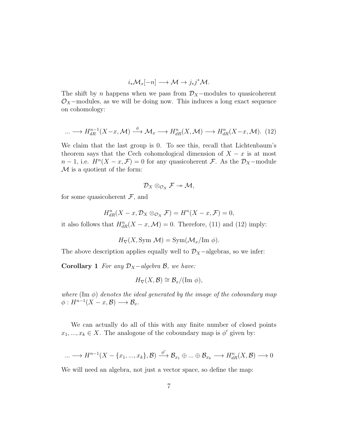$$
i_*\mathcal{M}_x[-n] \longrightarrow \mathcal{M} \to j_*j^*\mathcal{M}.
$$

The shift by n happens when we pass from  $\mathcal{D}_X$ −modules to quasicoherent  $\mathcal{O}_X$ -modules, as we will be doing now. This induces a long exact sequence on cohomology:

$$
\dots \longrightarrow H_{dR}^{n-1}(X-x, \mathcal{M}) \stackrel{\phi}{\longrightarrow} \mathcal{M}_x \longrightarrow H_{dR}^n(X, \mathcal{M}) \longrightarrow H_{dR}^n(X-x, \mathcal{M}). \tag{12}
$$

We claim that the last group is 0. To see this, recall that Lichtenbaum's theorem says that the Cech cohomological dimension of  $X - x$  is at most  $n-1$ , i.e.  $H^{n}(X-x,\mathcal{F})=0$  for any quasicoherent  $\mathcal{F}$ . As the  $\mathcal{D}_X$ -module  $M$  is a quotient of the form:

$$
\mathcal{D}_X\otimes_{\mathcal{O}_X}\mathcal{F}\twoheadrightarrow \mathcal{M},
$$

for some quasicoherent  $\mathcal{F}$ , and

$$
H_{dR}^{n}(X-x,\mathcal{D}_{X}\otimes_{\mathcal{O}_{X}}\mathcal{F})=H^{n}(X-x,\mathcal{F})=0,
$$

it also follows that  $H_{dR}^n(X-x,\mathcal{M})=0$ . Therefore, (11) and (12) imply:

$$
H_{\nabla}(X, \text{Sym }\mathcal{M}) = \text{Sym}(\mathcal{M}_x/\text{Im }\phi).
$$

The above description applies equally well to  $\mathcal{D}_X$  –algebras, so we infer:

Corollary 1 For any  $\mathcal{D}_X$ -algebra  $\mathcal{B}$ , we have:

$$
H_{\nabla}(X,\mathcal{B}) \cong \mathcal{B}_x/(\text{Im }\phi),
$$

where  $(\text{Im } \phi)$  denotes the ideal generated by the image of the coboundary map  $\phi: H^{n-1}(X-x,\mathcal{B}) \longrightarrow \mathcal{B}_x.$ 

We can actually do all of this with any finite number of closed points  $x_1, ..., x_k \in X$ . The analogoue of the coboundary map is  $\phi'$  given by:

$$
\dots \longrightarrow H^{n-1}(X - \{x_1, ..., x_k\}, \mathcal{B}) \stackrel{\phi'}{\longrightarrow} \mathcal{B}_{x_1} \oplus ... \oplus \mathcal{B}_{x_k} \longrightarrow H^n_{dR}(X, \mathcal{B}) \longrightarrow 0
$$

We will need an algebra, not just a vector space, so define the map: